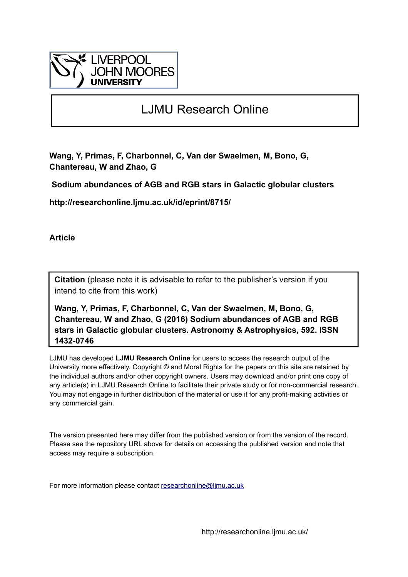

# LJMU Research Online

**Wang, Y, Primas, F, Charbonnel, C, Van der Swaelmen, M, Bono, G, Chantereau, W and Zhao, G**

 **Sodium abundances of AGB and RGB stars in Galactic globular clusters**

**http://researchonline.ljmu.ac.uk/id/eprint/8715/**

**Article**

**Citation** (please note it is advisable to refer to the publisher's version if you intend to cite from this work)

**Wang, Y, Primas, F, Charbonnel, C, Van der Swaelmen, M, Bono, G, Chantereau, W and Zhao, G (2016) Sodium abundances of AGB and RGB stars in Galactic globular clusters. Astronomy & Astrophysics, 592. ISSN 1432-0746** 

LJMU has developed **[LJMU Research Online](http://researchonline.ljmu.ac.uk/)** for users to access the research output of the University more effectively. Copyright © and Moral Rights for the papers on this site are retained by the individual authors and/or other copyright owners. Users may download and/or print one copy of any article(s) in LJMU Research Online to facilitate their private study or for non-commercial research. You may not engage in further distribution of the material or use it for any profit-making activities or any commercial gain.

The version presented here may differ from the published version or from the version of the record. Please see the repository URL above for details on accessing the published version and note that access may require a subscription.

For more information please contact [researchonline@ljmu.ac.uk](mailto:researchonline@ljmu.ac.uk)

http://researchonline.ljmu.ac.uk/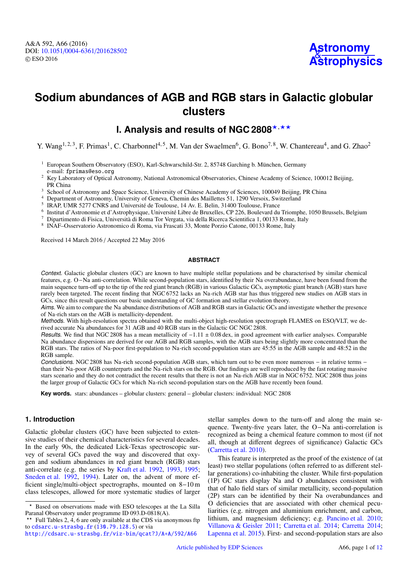

# **Sodium abundances of AGB and RGB stars in Galactic globular clusters**

# **I. Analysis and results of NGC 2808\*,\*\***

Y. Wang<sup>1, 2, 3</sup>, F. Primas<sup>1</sup>, C. Charbonnel<sup>4, 5</sup>, M. Van der Swaelmen<sup>6</sup>, G. Bono<sup>7, 8</sup>, W. Chantereau<sup>4</sup>, and G. Zhao<sup>2</sup>

- <sup>1</sup> European Southern Observatory (ESO), Karl-Schwarschild-Str. 2, 85748 Garching b. München, Germany e-mail: fprimas@eso.org
- <sup>2</sup> Key Laboratory of Optical Astronomy, National Astronomical Observatories, Chinese Academy of Science, 100012 Beijing, PR China
- <sup>3</sup> School of Astronomy and Space Science, University of Chinese Academy of Sciences, 100049 Beijing, PR China
- <sup>4</sup> Department of Astronomy, University of Geneva, Chemin des Maillettes 51, 1290 Versoix, Switzerland
- <sup>5</sup> IRAP, UMR 5277 CNRS and Université de Toulouse, 14 Av. E. Belin, 31400 Toulouse, France
- 6 Institut d'Astronomie et d'Astrophysique, Université Libre de Bruxelles, CP 226, Boulevard du Triomphe, 1050 Brussels, Belgium
- <sup>7</sup> Dipartimento di Fisica, Università di Roma Tor Vergata, via della Ricerca Scientifica 1, 00133 Rome, Italy
- 8 INAF–Osservatorio Astronomico di Roma, via Frascati 33, Monte Porzio Catone, 00133 Rome, Italy

Received 14 March 2016 / Accepted 22 May 2016

#### **ABSTRACT**

Context. Galactic globular clusters (GC) are known to have multiple stellar populations and be characterised by similar chemical features, e.g. O−Na anti-correlation. While second-population stars, identified by their Na overabundance, have been found from the main sequence turn-off up to the tip of the red giant branch (RGB) in various Galactic GCs, asymptotic giant branch (AGB) stars have rarely been targeted. The recent finding that NGC 6752 lacks an Na-rich AGB star has thus triggered new studies on AGB stars in GCs, since this result questions our basic understanding of GC formation and stellar evolution theory.

Aims. We aim to compare the Na abundance distributions of AGB and RGB stars in Galactic GCs and investigate whether the presence of Na-rich stars on the AGB is metallicity-dependent.

Methods. With high-resolution spectra obtained with the multi-object high-resolution spectrograph FLAMES on ESO/VLT, we derived accurate Na abundances for 31 AGB and 40 RGB stars in the Galactic GC NGC 2808.

Results. We find that NGC 2808 has a mean metallicity of  $-1.11 \pm 0.08$  dex, in good agreement with earlier analyses. Comparable Na abundance dispersions are derived for our AGB and RGB samples, with the AGB stars being slightly more concentrated than the RGB stars. The ratios of Na-poor first-population to Na-rich second-population stars are 45:55 in the AGB sample and 48:52 in the RGB sample.

Conclusions. NGC 2808 has Na-rich second-population AGB stars, which turn out to be even more numerous − in relative terms − than their Na-poor AGB counterparts and the Na-rich stars on the RGB. Our findings are well reproduced by the fast rotating massive stars scenario and they do not contradict the recent results that there is not an Na-rich AGB star in NGC 6752. NGC 2808 thus joins the larger group of Galactic GCs for which Na-rich second-population stars on the AGB have recently been found.

**Key words.** stars: abundances – globular clusters: general – globular clusters: individual: NGC 2808

# <span id="page-1-0"></span>**1. Introduction**

Galactic globular clusters (GC) have been subjected to extensive studies of their chemical characteristics for several decades. In the early 90s, the dedicated Lick-Texas spectroscopic survey of several GCs paved the way and discovered that oxygen and sodium abundances in red giant branch (RGB) stars anti-correlate (e.g. the series by [Kraft et al.](#page-11-0) [1992,](#page-11-0) [1993,](#page-11-1) [1995;](#page-11-2) [Sneden et al.](#page-11-3) [1992,](#page-11-3) [1994\)](#page-11-4). Later on, the advent of more efficient single/multi-object spectrographs, mounted on 8−10 m class telescopes, allowed for more systematic studies of larger stellar samples down to the turn-off and along the main sequence. Twenty-five years later, the O−Na anti-correlation is recognized as being a chemical feature common to most (if not all, though at different degrees of significance) Galactic GCs [\(Carretta et al.](#page-11-5) [2010\)](#page-11-5).

This feature is interpreted as the proof of the existence of (at least) two stellar populations (often referred to as different stellar generations) co-inhabiting the cluster. While first-population (1P) GC stars display Na and O abundances consistent with that of halo field stars of similar metallicity, second-population (2P) stars can be identified by their Na overabundances and O deficiencies that are associated with other chemical peculiarities (e.g. nitrogen and aluminium enrichment, and carbon, lithium, and magnesium deficiency; e.g. [Pancino et al.](#page-11-6) [2010;](#page-11-6) [Villanova & Geisler](#page-11-7) [2011;](#page-11-7) [Carretta et al.](#page-11-8) [2014;](#page-11-8) [Carretta](#page-11-9) [2014;](#page-11-9) [Lapenna et al.](#page-11-10) [2015\)](#page-11-10). First- and second-population stars are also

<sup>?</sup> Based on observations made with ESO telescopes at the La Silla Paranal Observatory under programme ID 093.D-0818(A).

<sup>\*\*</sup> Full Tables 2, 4, 6 are only available at the CDS via anonymous ftp to [cdsarc.u-strasbg.fr](http://cdsarc.u-strasbg.fr) (<130.79.128.5>) or via

<http://cdsarc.u-strasbg.fr/viz-bin/qcat?J/A+A/592/A66>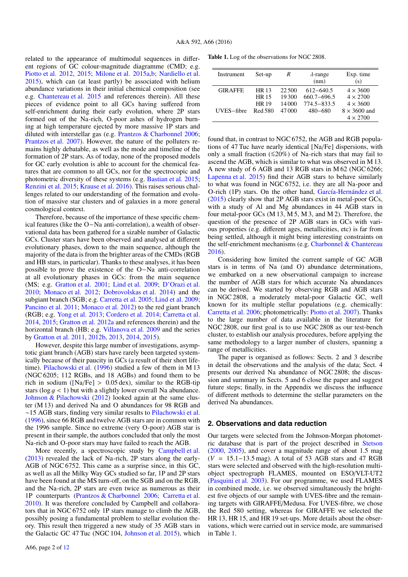related to the appearance of multimodal sequences in different regions of GC colour-magnitude diagramme (CMD; e.g. [Piotto et al.](#page-11-11) [2012,](#page-11-11) [2015;](#page-11-12) [Milone et al.](#page-11-13) [2015a](#page-11-13)[,b;](#page-11-14) [Nardiello et al.](#page-11-15) [2015\)](#page-11-15), which can (at least partly) be associated with helium abundance variations in their initial chemical composition (see e.g. [Chantereau et al.](#page-11-16) [2015](#page-11-16) and references therein). All these pieces of evidence point to all GCs having suffered from self-enrichment during their early evolution, where 2P stars formed out of the Na-rich, O-poor ashes of hydrogen burning at high temperature ejected by more massive 1P stars and diluted with interstellar gas (e.g. [Prantzos & Charbonnel](#page-11-17) [2006;](#page-11-17) [Prantzos et al.](#page-11-18) [2007\)](#page-11-18). However, the nature of the polluters remains highly debatable, as well as the mode and timeline of the formation of 2P stars. As of today, none of the proposed models for GC early evolution is able to account for the chemical features that are common to all GCs, nor for the spectrocopic and photometric diversity of these systems (e.g. [Bastian et al.](#page-11-19) [2015;](#page-11-19) [Renzini et al.](#page-11-20) [2015;](#page-11-20) [Krause et al.](#page-11-21) [2016\)](#page-11-21). This raises serious challenges related to our understanding of the formation and evolution of massive star clusters and of galaxies in a more general cosmological context.

Therefore, because of the importance of these specific chemical features (like the O−Na anti-correlation), a wealth of observational data has been gathered for a sizable number of Galactic GCs. Cluster stars have been observed and analysed at different evolutionary phases, down to the main sequence, although the majority of the data is from the brighter areas of the CMDs (RGB and HB stars, in particular). Thanks to these analyses, it has been possible to prove the existence of the O−Na anti-correlation at all evolutionary phases in GCs: from the main sequence (MS; e.g. [Gratton et al.](#page-11-22) [2001;](#page-11-22) [Lind et al.](#page-11-23) [2009;](#page-11-23) [D'Orazi et al.](#page-11-24) [2010;](#page-11-24) [Monaco et al.](#page-11-25) [2012;](#page-11-25) [Dobrovolskas et al.](#page-11-26) [2014\)](#page-11-26) and the subgiant branch (SGB; e.g. [Carretta et al.](#page-11-27) [2005;](#page-11-27) [Lind et al.](#page-11-23) [2009;](#page-11-23) [Pancino et al.](#page-11-28) [2011;](#page-11-28) [Monaco et al.](#page-11-25) [2012\)](#page-11-25) to the red giant branch (RGB; e.g. [Yong et al.](#page-11-29) [2013;](#page-11-29) [Cordero et al.](#page-11-30) [2014;](#page-11-30) [Carretta et al.](#page-11-8) [2014,](#page-11-8) [2015;](#page-11-31) [Gratton et al.](#page-11-32) [2012a](#page-11-32) and references therein) and the horizontal branch (HB; e.g. [Villanova et al.](#page-11-33) [2009](#page-11-33) and the series by [Gratton et al.](#page-11-34) [2011,](#page-11-34) [2012b,](#page-11-35) [2013,](#page-11-36) [2014,](#page-11-37) [2015\)](#page-11-38).

However, despite this large number of investigations, asymptotic giant branch (AGB) stars have rarely been targeted systemically because of their paucity in GCs (a result of their short lifetime). [Pilachowski et al.](#page-11-39) [\(1996\)](#page-11-39) studied a few of them in M 13 (NGC 6205; 112 RGBs, and 18 AGBs) and found them to be rich in sodium ( $[Na/Fe] > 0.05$  dex), similar to the RGB-tip stars (log  $q < 1$ ) but with a slightly lower overall Na abundance. [Johnson & Pilachowski](#page-11-40) [\(2012\)](#page-11-40) looked again at the same cluster (M 13) and derived Na and O abundances for 98 RGB and ∼15 AGB stars, finding very similar results to [Pilachowski et al.](#page-11-39) [\(1996\)](#page-11-39), since 66 RGB and twelve AGB stars are in common with the 1996 sample. Since no extreme (very O-poor) AGB star is present in their sample, the authors concluded that only the most Na-rich and O-poor stars may have failed to reach the AGB.

More recently, a spectroscopic study by [Campbell et al.](#page-11-41) [\(2013\)](#page-11-41) revealed the lack of Na-rich, 2P stars along the early-AGB of NGC 6752. This came as a surprise since, in this GC, as well as all the Milky Way GCs studied so far, 1P and 2P stars have been found at the MS turn-off, on the SGB and on the RGB, and the Na-rich, 2P stars are even twice as numerous as their 1P counterparts [\(Prantzos & Charbonnel](#page-11-17) [2006;](#page-11-17) [Carretta et al.](#page-11-5) [2010\)](#page-11-5). It was therefore concluded by Campbell and collaborators that in NGC 6752 only 1P stars manage to climb the AGB, possibly posing a fundamental problem to stellar evolution theory. This result then triggered a new study of 35 AGB stars in the Galactic GC 47 Tuc (NGC 104, [Johnson et al.](#page-11-42) [2015\)](#page-11-42), which <span id="page-2-0"></span>Table 1. Log of the observations for NGC 2808.

| Instrument     | Set-up       | R      | $\lambda$ -range | Exp. time           |
|----------------|--------------|--------|------------------|---------------------|
|                |              |        | (nm)             | (s)                 |
| <b>GIRAFFE</b> | <b>HR13</b>  | 22.500 | $612 - 640.5$    | $4 \times 3600$     |
|                | <b>HR</b> 15 | 19300  | $660.7 - 696.5$  | $4 \times 2700$     |
|                | <b>HR19</b>  | 14 000 | $774.5 - 833.5$  | $4 \times 3600$     |
| UVES-fibre     | Red 580      | 47000  | $480 - 680$      | $8 \times 3600$ and |
|                |              |        |                  | $4 \times 2700$     |

found that, in contrast to NGC 6752, the AGB and RGB populations of 47 Tuc have nearly identical [Na/Fe] dispersions, with only a small fraction (≤20%) of Na-rich stars that may fail to ascend the AGB, which is similar to what was observed in M 13. A new study of 6 AGB and 13 RGB stars in M 62 (NGC 6266; [Lapenna et al.](#page-11-10) [2015\)](#page-11-10) find their AGB stars to behave similarly to what was found in NGC 6752, i.e. they are all Na-poor and O-rich (1P) stars. On the other hand, [García-Hernández et al.](#page-11-43) [\(2015\)](#page-11-43) clearly show that 2P AGB stars exist in metal-poor GCs, with a study of Al and Mg abundances in 44 AGB stars in four metal-poor GCs (M 13, M 5, M 3, and M 2). Therefore, the question of the presence of 2P AGB stars in GCs with various properties (e.g. different ages, metallicities, etc) is far from being settled, although it might bring interesting constraints on the self-enrichment mechanisms (e.g. [Charbonnel & Chantereau](#page-11-44) [2016\)](#page-11-44).

Considering how limited the current sample of GC AGB stars is in terms of Na (and O) abundance determinations, we embarked on a new observational campaign to increase the number of AGB stars for which accurate Na abundances can be derived. We started by observing RGB and AGB stars in NGC 2808, a moderately metal-poor Galactic GC, well known for its multiple stellar populations (e.g. chemically: [Carretta et al.](#page-11-45) [2006;](#page-11-45) photometrically: [Piotto et al.](#page-11-46) [2007\)](#page-11-46). Thanks to the large number of data available in the literature for NGC 2808, our first goal is to use NGC 2808 as our test-bench cluster, to establish our analysis procedures, before applying the same methodology to a larger number of clusters, spanning a range of metallicities.

The paper is organised as follows: Sects. 2 and 3 describe in detail the observations and the analysis of the data; Sect. 4 presents our derived Na abundance of NGC 2808; the discussion and summary in Sects. 5 and 6 close the paper and suggest future steps; finally, in the Appendix we discuss the influence of different methods to determine the stellar parameters on the derived Na abundances.

### **2. Observations and data reduction**

Our targets were selected from the Johnson-Morgan photometric database that is part of the project described in [Stetson](#page-11-47) [\(2000,](#page-11-47) [2005\)](#page-11-48), and cover a magnitude range of about 1.5 mag (*<sup>V</sup>* <sup>=</sup> <sup>15</sup>.1−13.5 mag). A total of 53 AGB stars and 47 RGB stars were selected and observed with the high-resolution multiobject spectrograph FLAMES, mounted on ESO/VLT-UT2 [\(Pasquini et al.](#page-11-49) [2003\)](#page-11-49). For our programme, we used FLAMES in combined mode, i.e. we observed simultaneously the brightest five objects of our sample with UVES-fibre and the remaining targets with GIRAFFE/Medusa. For UVES-fibre, we chose the Red 580 setting, whereas for GIRAFFE we selected the HR 13, HR 15, and HR 19 set-ups. More details about the observations, which were carried out in service mode, are summarised in Table [1.](#page-2-0)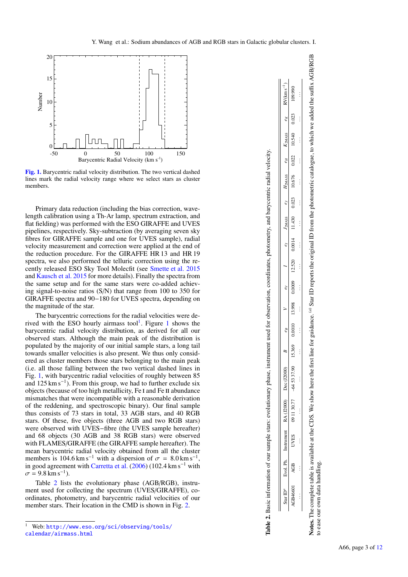

<span id="page-3-1"></span>[Fig. 1.](http://dexter.edpsciences.org/applet.php?DOI=10.1051/0004-6361/201628502&pdf_id=1) Barycentric radial velocity distribution. The two vertical dashed lines mark the radial velocity range where we select stars as cluster members.

Primary data reduction (including the bias correction, wavelength calibration using a Th-Ar lamp, spectrum extraction, and flat fielding) was performed with the ESO GIRAFFE and UVES pipelines, respectively. Sky-subtraction (by averaging seven sky fibres for GIRAFFE sample and one for UVES sample), radial velocity measurement and correction were applied at the end of the reduction procedure. For the GIRAFFE HR 13 and HR 19 spectra, we also performed the telluric correction using the recently released ESO Sky Tool Molecfit (see [Smette et al.](#page-11-50) [2015](#page-11-50) and [Kausch et al.](#page-11-51) [2015](#page-11-51) for more details). Finally the spectra from the same setup and for the same stars were co-added achieving signal-to-noise ratios (S/N) that range from 100 to 350 for GIRAFFE spectra and 90−180 for UVES spectra, depending on the magnitude of the star.

The barycentric corrections for the radial velocities were de-rived with the ESO hourly airmass tool<sup>[1](#page-3-1)</sup>. Figure 1 shows the barycentric radial velocity distribution, as derived for all our observed stars. Although the main peak of the distribution is populated by the majority of our initial sample stars, a long tail towards smaller velocities is also present. We thus only considered as cluster members those stars belonging to the main peak (i.e. all those falling between the two vertical dashed lines in Fig. [1,](#page-3-1) with barycentric radial velocities of roughly between 85 and 125 km s<sup>−</sup><sup>1</sup> ). From this group, we had to further exclude six objects (because of too high metallicity, Fe I and Fe II abundance mismatches that were incompatible with a reasonable derivation of the reddening, and spectroscopic binary). Our final sample thus consists of 73 stars in total, 33 AGB stars, and 40 RGB stars. Of these, five objects (three AGB and two RGB stars) were observed with UVES−fibre (the UVES sample hereafter) and 68 objects (30 AGB and 38 RGB stars) were observed with FLAMES/GIRAFFE (the GIRAFFE sample hereafter). The mean barycentric radial velocity obtained from all the cluster members is 104.6 km s<sup>−1</sup> with a dispersion of  $\sigma = 8.0$  km s<sup>−1</sup>,<br>in good agreement with Carretta et al. (2006) (102.4 km s<sup>−1</sup> with in good agreement with [Carretta et al.](#page-11-45) [\(2006\)](#page-11-45) (102.4 km s<sup>−</sup><sup>1</sup> with  $\sigma = 9.8 \text{ km s}^{-1}$ .<br>Table 2 lists

Table [2](#page-3-2) lists the evolutionary phase (AGB/RGB), instrument used for collecting the spectrum (UVES/GIRAFFE), coordinates, photometry, and barycentric radial velocities of our member stars. Their location in the CMD is shown in Fig. [2.](#page-4-0)

|                                               | ≼<br>١                |
|-----------------------------------------------|-----------------------|
|                                               | į<br>ś                |
|                                               |                       |
|                                               |                       |
|                                               |                       |
|                                               |                       |
|                                               |                       |
|                                               |                       |
|                                               | j                     |
|                                               |                       |
|                                               |                       |
|                                               |                       |
| i                                             | <u>הההה היה המר</u>   |
|                                               | nn7ri<br>A CLARA<br>j |
| Contractors of                                | nstrument             |
| $\approx 2$ . Basic information of our sample | م<br>او               |
|                                               | tar ID                |

066601 520.0 045.01 220.01 520.01 520.01 0.0011 4100.0 0.02.71 600010 866:1 0.10010 695.51 0.67.15.754 11.5611 60 531.01 109.4 10.9948.07 . . . . . . . . . . . . . . . . . . . . . . . . . . . . . . . . . . . . . . . . . . . . . . . . . . . . . .

13.998

0.0010

15.369

 $-645337.90$ 

09 11 30.77

**UVES** 

AGB

AGB4660

0.0009

 $(09.990)$ 

0.023

10.540

0.022

10.676

 $0.023$ 

11.430

0.0014

12.520

<span id="page-3-2"></span>Star ID reports the original ID from the photometric catalogue, to which we added the suffix AGB/RGB (a) Star ID reports the original ID from the photometric catalogue, to which we added the su **Notes.** The complete table is available at the CDS. We show here the first line for guidance. (a) to ease our own data handling. Notes. The complete table is available at the CDS. We show here the first line for guidance. to ease our own data handling.

<span id="page-3-0"></span><sup>1</sup> Web: [http://www.eso.org/sci/observing/tools/](http://www.eso.org/sci/observing/tools/calendar/airmass.html) [calendar/airmass.html](http://www.eso.org/sci/observing/tools/calendar/airmass.html)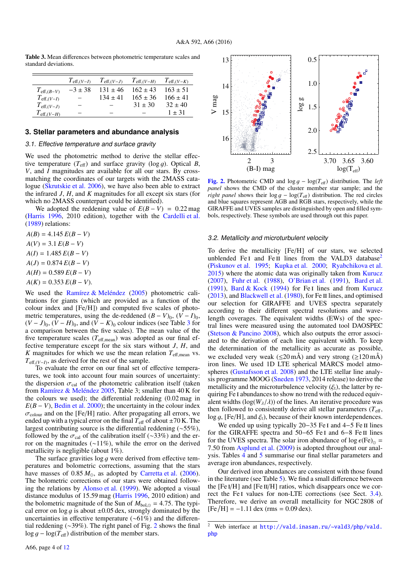<span id="page-4-1"></span>Table 3. Mean differences between photometric temperature scales and standard deviations.

|                        |         |              | $T_{\text{eff},(V-I)}$ $T_{\text{eff},(V-J)}$ $T_{\text{eff},(V-H)}$ $T_{\text{eff},(V-K)}$ |              |
|------------------------|---------|--------------|---------------------------------------------------------------------------------------------|--------------|
| $T_{\text{eff},(B-V)}$ | $-3+38$ | $131 \pm 46$ | $162 \pm 43$                                                                                | $163 + 51$   |
| $T_{\text{eff},(V-I)}$ |         | $134 + 41$   | $165 \pm 36$                                                                                | $166 \pm 41$ |
| $T_{\text{eff},(V-J)}$ |         |              | $31 + 30$                                                                                   | $32 + 40$    |
| $T_{\text{eff},(V-H)}$ |         |              |                                                                                             | $1 + 31$     |
|                        |         |              |                                                                                             |              |

#### **3. Stellar parameters and abundance analysis**

# 3.1. Effective temperature and surface gravity

We used the photometric method to derive the stellar effective temperature  $(T_{\text{eff}})$  and surface gravity (log g). Optical *B*, *V*, and *I* magnitudes are available for all our stars. By crossmatching the coordinates of our targets with the 2MASS catalogue [\(Skrutskie et al.](#page-11-52) [2006\)](#page-11-52), we have also been able to extract the infrared *J*, *H*, and *K* magnitudes for all except six stars (for which no 2MASS counterpart could be identified).

We adopted the reddening value of  $E(B - V) = 0.22$  mag [\(Harris](#page-11-53) [1996,](#page-11-53) 2010 edition), together with the [Cardelli et al.](#page-11-54) [\(1989\)](#page-11-54) relations:

 $A(B) = 4.145 E(B - V)$  $A(V) = 3.1 E(B - V)$ 

 $A(I) = 1.485 E(B - V)$ 

 $A(J) = 0.874 E(B - V)$ 

 $A(H) = 0.589 E(B - V)$ 

 $A(K) = 0.353 E(B - V).$ 

We used the [Ramírez & Meléndez](#page-11-55) [\(2005\)](#page-11-55) photometric calibrations for giants (which are provided as a function of the colour index and [Fe/H]) and computed five scales of photometric temperatures, using the de-reddened  $(B - V)_0$ ,  $(V - I)_0$ ,  $(V - J)_0$ ,  $(V - H)_0$ , and  $(V - K)_0$  colour indices (see Table [3](#page-4-1) for a comparison between the five scales). The mean value of the five temperature scales  $(T_{\text{eff,mean}})$  was adopted as our final effective temperature except for the six stars without *J*, *H*, and *K* magnitudes for which we use the mean relation  $T_{\text{eff,mean}}$  vs.  $T_{\text{eff},(V-I)}$ , as derived for the rest of the sample.<br>To evaluate the error on our final set of

To evaluate the error on our final set of effective temperatures, we took into account four main sources of uncertainty: the dispersion  $\sigma_{\text{cal}}$  of the photometric calibration itself (taken from [Ramírez & Meléndez](#page-11-55) [2005,](#page-11-55) Table 3; smaller than 40 K for the colours we used); the differential reddening (0.02 mag in  $E(B - V)$ , [Bedin et al.](#page-11-56) [2000\)](#page-11-56); the uncertainty in the colour index  $\sigma_{\text{colour}}$  and on the [Fe/H] ratio. After propagating all errors, we ended up with a typical error on the final  $T_{\text{eff}}$  of about  $\pm 70$  K. The largest contributing source is the differential reddening (∼55%), followed by the  $\sigma_{\text{cal}}$  of the calibration itself (∼33%) and the error on the magnitudes (∼11%), while the error on the derived metallicity is negligible (about 1%).

The surface gravities  $\log g$  were derived from effective temperatures and bolometric corrections, assuming that the stars have masses of  $0.85 M_{\odot}$ , as adopted by [Carretta et al.](#page-11-45) [\(2006\)](#page-11-45). The bolometric corrections of our stars were obtained following the relations by [Alonso et al.](#page-11-57) [\(1999\)](#page-11-57). We adopted a visual distance modulus of 15.59 mag [\(Harris](#page-11-53) [1996,](#page-11-53) 2010 edition) and the bolometric magnitude of the Sun of  $M_{bol,\odot} = 4.75$ . The typical error on  $\log g$  is about  $\pm 0.05$  dex, strongly dominated by the uncertainties in effective temperature (∼61%) and the differential reddening (∼39%). The right panel of Fig. [2](#page-4-0) shows the final  $\log g - \log(T_{\text{eff}})$  distribution of the member stars.



<span id="page-4-0"></span>[Fig. 2.](http://dexter.edpsciences.org/applet.php?DOI=10.1051/0004-6361/201628502&pdf_id=2) Photometric CMD and log g <sup>−</sup> log(*T*eff) distribution. The *left panel* shows the CMD of the cluster member star sample; and the *right panel* shows their  $\log g - \log(T_{\text{eff}})$  distribution. The red circles and blue squares represent AGB and RGB stars, respectively, while the GIRAFFE and UVES samples are distinguished by open and filled symbols, respectively. These symbols are used through out this paper.

#### <span id="page-4-3"></span>3.2. Metallicity and microturbulent velocity

To derive the metallicity [Fe/H] of our stars, we selected unblended Fe<sub>I</sub> and Fe<sub>II</sub> lines from the VALD3 database<sup>[2](#page-4-2)</sup> [\(Piskunov et al.](#page-11-58) [1995;](#page-11-58) [Kupka et al.](#page-11-59) [2000;](#page-11-59) [Ryabchikova et al.](#page-11-60) [2015\)](#page-11-60) where the atomic data was originally taken from [Kurucz](#page-11-61) [\(2007\)](#page-11-61), [Fuhr et al.](#page-11-62) [\(1988\)](#page-11-62), [O'Brian et al.](#page-11-63) [\(1991\)](#page-11-63), [Bard et al.](#page-11-64) [\(1991\)](#page-11-64), [Bard & Kock](#page-11-65) [\(1994\)](#page-11-65) for Fe<sub>I</sub> lines and from [Kurucz](#page-11-66)  $(2013)$ , and [Blackwell et al.](#page-11-67)  $(1980)$ , for Fe II lines, and optimised our selection for GIRAFFE and UVES spectra separately according to their different spectral resolutions and wavelength coverages. The equivalent widths (EWs) of the spectral lines were measured using the automated tool DAOSPEC [\(Stetson & Pancino](#page-11-68) [2008\)](#page-11-68), which also outputs the error associated to the derivation of each line equivalent width. To keep the determination of the metallicity as accurate as possible, we excluded very weak ( $\leq 20 \text{ mA}$ ) and very strong ( $\geq 120 \text{ mA}$ ) iron lines. We used 1D LTE spherical MARCS model atmospheres [\(Gustafsson et al.](#page-11-69) [2008\)](#page-11-69) and the LTE stellar line analysis programme MOOG [\(Sneden](#page-11-70) [1973,](#page-11-70) 2014 release) to derive the metallicity and the microturbulence velocity  $(\xi_t)$ , the latter by requiring Fe i abundances to show no trend with the reduced equivalent widths  $(log(W_{\lambda}/\lambda))$  of the lines. An iterative procedure was then followed to consistently derive all stellar parameters  $(T<sub>eff</sub>,$  $\log q$ , [Fe/H], and  $\xi$ <sub>t</sub>), because of their known interdependences.

We ended up using typically 20–35 Fe I and 4–5 Fe II lines for the GIRAFFE spectra and 50−65 Fe i and 6−8 Fe ii lines for the UVES spectra. The solar iron abundance of  $\log \epsilon$  (Fe)<sub> $\approx$ </sub> = <sup>7</sup>.50 from [Asplund et al.](#page-11-71) [\(2009\)](#page-11-71) is adopted throughout our analysis. Tables [4](#page-5-0) and [5](#page-5-1) summarise our final stellar parameters and average iron abundances, respectively.

Our derived iron abundances are consistent with those found in the literature (see Table [5\)](#page-5-1). We find a small difference between the  $[Fe I/H]$  and  $[Fe II/H]$  ratios, which disappears once we cor-rect the Fe<sub>I</sub> values for non-LTE corrections (see Sect. [3.4\)](#page-5-2). Therefore, we derive an overall metallicity for NGC 2808 of  $[Fe/H] = -1.11$  dex (rms = 0.09 dex).

<span id="page-4-2"></span>Web interface at [http://vald.inasan.ru/~vald3/php/vald.](http://vald.inasan.ru/~vald3/php/vald.php) [php](http://vald.inasan.ru/~vald3/php/vald.php)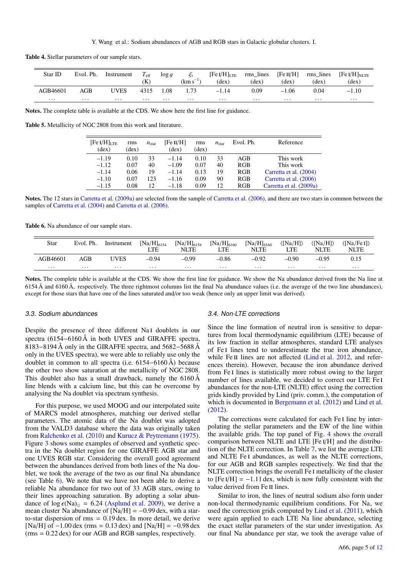Table 4. Stellar parameters of our sample stars.

<span id="page-5-0"></span>

| Star ID  | Evol. Ph. | Instrument  | $T_{\rm eff}$<br>(K) | $\log g$ | $\mathcal{E}_t$<br>$(km s^{-1})$ | $[Fe I/H]_{LTE}$<br>$(\text{dex})$ | rms lines $[Fe II/H]$<br>$(\text{dex})$ | $(\text{dex})$ | rms lines<br>$(\text{dex})$ | $[Fe I/H]_{\rm NLTE}$<br>$(\text{dex})$ |
|----------|-----------|-------------|----------------------|----------|----------------------------------|------------------------------------|-----------------------------------------|----------------|-----------------------------|-----------------------------------------|
| AGB46601 | AGB       | <b>UVES</b> | 4315                 | 1.08     | 1.73                             | $-1.14$                            | 0.09                                    | $-1.06$        | 0.04                        | $-1.10$                                 |
| $\cdots$ | $\cdots$  | $\cdots$    | $\cdots$             | .        | $\cdots$                         | $\cdots$                           | $\cdots$                                | $\cdots$       | $\cdots$                    | $\cdots$                                |
|          |           |             |                      |          |                                  |                                    |                                         |                |                             |                                         |

Notes. The complete table is available at the CDS. We show here the first line for guidance.

<span id="page-5-1"></span>Table 5. Metallicity of NGC 2808 from this work and literature.

| $[Fe I/H]_{\text{LTE}}$<br>(dex) | rms<br>(dex) | $n_{\rm star}$ | [Fe II/H]<br>(dex) | rms<br>(dex) | $n_{\rm star}$ | Evol. Ph.  | Reference               |
|----------------------------------|--------------|----------------|--------------------|--------------|----------------|------------|-------------------------|
| $-1.19$                          | 0.10         | 33             | $-1.14$            | 0.10         | 33             | AGB        | This work               |
| $-1.12$                          | 0.07         | 40             | $-1.09$            | 0.07         | 40             | <b>RGB</b> | This work               |
| $-1.14$                          | 0.06         | 19             | $-1.14$            | 0.13         | 19             | <b>RGB</b> | Carretta et al. (2004)  |
| $-1.10$                          | 0.07         | 123            | $-1.16$            | 0.09         | 90             | <b>RGB</b> | Carretta et al. (2006)  |
| $-1.15$                          | 0.08         | 12             | $-1.18$            | 0.09         | 12             | <b>RGB</b> | Carretta et al. (2009a) |

Notes. The 12 stars in [Carretta et al.](#page-11-73) [\(2009a\)](#page-11-73) are selected from the sample of [Carretta et al.](#page-11-45) [\(2006\)](#page-11-45), and there are two stars in common between the samples of [Carretta et al.](#page-11-72) [\(2004\)](#page-11-72) and [Carretta et al.](#page-11-45) [\(2006\)](#page-11-45).

Table 6. Na abundance of our sample stars.

<span id="page-5-3"></span>

| Star     | Evol. Ph. | Instrument | $[Na/H]_{6154}$<br>LTE | $[Na/H]_{6154}$<br>NLTE | $[Na/H]_{6160}$<br>LTE | $[Na/H]_{6160}$<br><b>NLTE</b> | $\langle$ [Na/H] $\rangle$<br>LTE | $\langle$ [Na/H] $\rangle$<br><b>NLTE</b> | $\langle$ [Na/Fe I] $\rangle$<br><b>NLTE</b> |
|----------|-----------|------------|------------------------|-------------------------|------------------------|--------------------------------|-----------------------------------|-------------------------------------------|----------------------------------------------|
| AGB46601 | AGB       | UVES       | $-0.94$                | $-0.99$                 | $-0.86$                | $-0.92$                        | $-0.90$                           | $-0.95$                                   | 0.15                                         |
| $\cdots$ | $\cdots$  | $\cdots$   | $\cdots$               | $\cdots$                | $\cdots$               | $\cdots$                       | $\cdots$                          | $\cdots$                                  | $\cdots$                                     |

Notes. The complete table is available at the CDS. We show the first line for guidance. We show the Na abundance derived from the Na line at 6154 Å and 6160 Å, respectively. The three rightmost columns list the final Na abundance values (i.e. the average of the two line abundances), except for those stars that have one of the lines saturated and/or too weak (hence only an upper limit was derived).

#### 3.3. Sodium abundances

Despite the presence of three different Na<sub>I</sub> doublets in our spectra (6154–6160 Å in both UVES and GIRAFFE spectra, 8183−8194 Å only in the GIRAFFE spectra, and 5682−5688 Å only in the UVES spectra), we were able to reliably use only the doublet in common to all spectra (i.e. 6154−6160 Å) because the other two show saturation at the metallicity of NGC 2808. This doublet also has a small drawback, namely the 6160 Å line blends with a calcium line, but this can be overcome by analysing the Na doublet via spectrum synthesis.

For this purpose, we used MOOG and our interpolated suite of MARCS model atmospheres, matching our derived stellar parameters. The atomic data of the Na doublet was adopted from the VALD3 database where the data was originally taken from [Ralchenko et al.](#page-11-74) [\(2010\)](#page-11-74) and [Kurucz & Peytremann](#page-11-75) [\(1975\)](#page-11-75). Figure [3](#page-6-0) shows some examples of observed and synthetic spectra in the Na doublet region for one GIRAFFE AGB star and one UVES RGB star. Considering the overall good agreement between the abundances derived from both lines of the Na doublet, we took the average of the two as our final Na abundance (see Table [6\)](#page-5-3). We note that we have not been able to derive a reliable Na abundance for two out of 33 AGB stars, owing to their lines approaching saturation. By adopting a solar abundance of  $log \epsilon(Na)_{\odot} = 6.24$  [\(Asplund et al.](#page-11-71) [2009\)](#page-11-71), we derive a mean cluster Na abundance of  $[Na/H] = -0.99$  dex, with a starto-star dispersion of rms <sup>=</sup> <sup>0</sup>.19 dex. In more detail, we derive [Na/H] of  $-1.00$  dex (rms = 0.13 dex) and [Na/H] =  $-0.98$  dex (rms <sup>=</sup> <sup>0</sup>.22 dex) for our AGB and RGB samples, respectively.

#### <span id="page-5-2"></span>3.4. Non-LTE corrections

Since the line formation of neutral iron is sensitive to departures from local thermodynamic equilibrium (LTE) because of its low fraction in stellar atmospheres, standard LTE analyses of Fe i lines tend to underestimate the true iron abundance, while Fe II lines are not affected [\(Lind et al.](#page-11-76) [2012,](#page-11-76) and references therein). However, because the iron abundance derived from Fe I lines is statistically more robust owing to the larger number of lines available, we decided to correct our LTE Fe i abundances for the non-LTE (NLTE) effect using the correction grids kindly provided by Lind (priv. comm.), the computation of which is documented in [Bergemann et al.](#page-11-77) [\(2012\)](#page-11-77) and [Lind et al.](#page-11-76) [\(2012\)](#page-11-76).

The corrections were calculated for each Fe I line by interpolating the stellar parameters and the EW of the line within the available grids. The top panel of Fig. [4](#page-6-1) shows the overall comparison between NLTE and LTE [Fe i/H] and the distribution of the NLTE correction. In Table [7,](#page-7-0) we list the average LTE and NLTE Fe i abundances, as well as the NLTE corrections, for our AGB and RGB samples respectively. We find that the NLTE correction brings the overall Fe i metallicity of the cluster to  $[Fe I/H] = -1.11$  dex, which is now fully consistent with the value derived from Fe II lines.

Similar to iron, the lines of neutral sodium also form under non-local thermodynamic equilibrium conditions. For Na, we used the correction grids computed by [Lind et al.](#page-11-78) [\(2011\)](#page-11-78), which were again applied to each LTE Na line abundance, selecting the exact stellar parameters of the star under investigation. As our final Na abundance per star, we took the average value of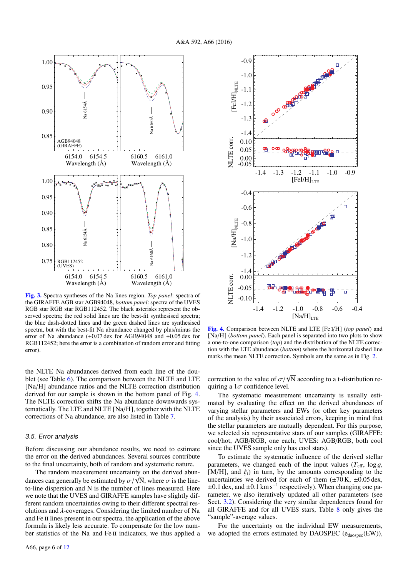

<span id="page-6-0"></span>[Fig. 3.](http://dexter.edpsciences.org/applet.php?DOI=10.1051/0004-6361/201628502&pdf_id=3) Spectra syntheses of the Na lines region. *Top panel*: spectra of the GIRAFFE AGB star AGB94048, *bottom panel*: spectra of the UVES RGB star RGB star RGB112452. The black asterisks represent the observed spectra; the red solid lines are the best-fit synthesised spectra; the blue dash-dotted lines and the green dashed lines are synthesised spectra, but with the best-fit Na abundance changed by plus/minus the error of Na abundance  $(\pm 0.07 \text{ dex}$  for AGB94048 and  $\pm 0.05 \text{ dex}$  for RGB112452; here the error is a combination of random error and fitting error).

the NLTE Na abundances derived from each line of the doublet (see Table [6\)](#page-5-3). The comparison between the NLTE and LTE [Na/H] abundance ratios and the NLTE correction distribution derived for our sample is shown in the bottom panel of Fig. [4.](#page-6-1) The NLTE correction shifts the Na abundance downwards systematically. The LTE and NLTE [Na/H], together with the NLTE corrections of Na abundance, are also listed in Table [7.](#page-7-0)

#### 3.5. Error analysis

A66, page 6 of [12](#page-12-0)

Before discussing our abundance results, we need to estimate the error on the derived abundances. Several sources contribute to the final uncertainty, both of random and systematic nature.

The random measurement uncertainty on the derived abun-The random measurement uncertainty on the derived abundances can generally be estimated by  $\sigma/\sqrt{N}$ , where  $\sigma$  is the line-<br>to-line dispersion and N is the number of lines measured. Here to-line dispersion and N is the number of lines measured. Here we note that the UVES and GIRAFFE samples have slightly different random uncertainties owing to their different spectral resolutions and  $\lambda$ -coverages. Considering the limited number of Na and Fe II lines present in our spectra, the application of the above formula is likely less accurate. To compensate for the low number statistics of the Na and Fe II indicators, we thus applied a

[Fig. 4.](http://dexter.edpsciences.org/applet.php?DOI=10.1051/0004-6361/201628502&pdf_id=4) Comparison between NLTE and LTE [Fe i/H] (*top panel*) and The systematic measurement uncertainty is usually estimated by evaluating the effect on the derived abundances of varying stellar parameters and EWs (or other key parameters of the analysis) by their associated errors, keeping in mind that the stellar parameters are mutually dependent. For this purpose, we selected six representative stars of our samples (GIRAFFE: cool/hot, AGB/RGB, one each; UVES: AGB/RGB, both cool since the UVES sample only has cool stars).

> To estimate the systematic influence of the derived stellar parameters, we changed each of the input values  $(T_{\text{eff}}$ ,  $\log g$ , [M/H], and  $\xi_t$ ) in turn, by the amounts corresponding to the uncertainties we derived for each of them  $(\pm 70 \text{ K}, \pm 0.05 \text{ dex},$  $\pm 0.1$  dex, and  $\pm 0.1$  km s<sup>-1</sup> respectively). When changing one parameters (see rameter, we also iteratively updated all other parameters (see Sect. [3.2\)](#page-4-3). Considering the very similar dependences found for all GIRAFFE and for all UVES stars, Table [8](#page-7-1) only gives the "sample"-average values.

> For the uncertainty on the individual EW measurements, we adopted the errors estimated by DAOSPEC ( $e_{\text{dassec}}(EW)$ ),



<span id="page-6-1"></span>[Na/H] (*bottom panel*). Each panel is separated into two plots to show a one-to-one comparison (*top*) and the distribution of the NLTE correction with the LTE abundance (*bottom*) where the horizontal dashed line marks the mean NLTE correction. Symbols are the same as in Fig. [2.](#page-4-0)

correction to the value of  $\sigma/\sqrt{N}$  according to a t-distribution requiring a 1 $\sigma$  confidence level quiring a  $1\sigma$  confidence level.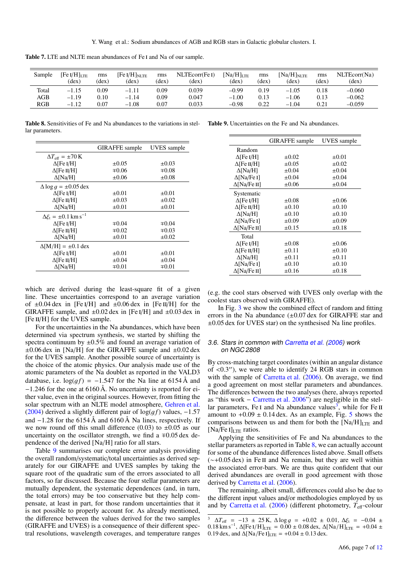<span id="page-7-0"></span>

|  |  | Table 7. LTE and NLTE mean abundances of Fe I and Na of our sample. |  |  |  |
|--|--|---------------------------------------------------------------------|--|--|--|
|  |  |                                                                     |  |  |  |

| Sample | [Fe I/H] $_{\rm LTE}$<br>(dex) | rms<br>(dex) | $[Fe I/H]_{NLTE}$<br>(dex) | rms<br>(dex) | NLTEcorr(FeI)<br>(dex) | $[Na/H]_{LTE}$<br>(dex` | rms<br>(dex) | $[Na/H]_{\rm NLTE}$<br>(dex) | rms<br>(dex) | NLTEcorr(Na)<br>(dex) |
|--------|--------------------------------|--------------|----------------------------|--------------|------------------------|-------------------------|--------------|------------------------------|--------------|-----------------------|
| Total  | $-1.15$                        | 0.09         | $-1.11$                    | 0.09         | 0.039                  | $-0.99$                 | 0.19         | $-1.05$                      | 0.18         | $-0.060$              |
| AGB    | $-1.19$                        | 0.10         | $-1.14$                    | 0.09         | 0.047                  | $-1.00$                 | 0.13         | $-1.06$                      | 0.13         | $-0.062$              |
| RGB    | 1.12<br>- 1                    | 0.07         | $-1.08$                    | 0.07         | 0.033                  | $-0.98$                 | 0.22         | .04<br>$-1$                  | 0.21         | $-0.059$              |

<span id="page-7-1"></span>Table 8. Sensitivities of Fe and Na abundances to the variations in stel-<br>
Table 9. Uncertainties on the Fe and Na abundances to the variations in stel-<br>
Table 9. Uncertainties on the Fe and Na abundances. lar parameters.

|                                            | <b>GIRAFFE</b> sample | UVES sample |
|--------------------------------------------|-----------------------|-------------|
| $\Delta T_{\text{eff}} = \pm 70 \text{ K}$ |                       |             |
| $\Delta$ [Fe I/H]                          | $\pm 0.05$            | $\pm 0.03$  |
| $\Delta$ [Fe II/H]                         | $\mp 0.06$            | $\mp 0.08$  |
| $\Delta$ [Na/H]                            | $\pm 0.06$            | $\pm 0.08$  |
| $\Delta \log g = \pm 0.05$ dex             |                       |             |
| $\Delta$ [Fe I/H]                          | $\pm 0.01$            | $\pm 0.01$  |
| $\Delta$ [Fe II/H]                         | $\pm 0.03$            | $\pm 0.02$  |
| $\Delta$ [Na/H]                            | $\pm 0.01$            | $\pm 0.01$  |
| $\Delta \xi_t = \pm 0.1 \text{ km s}^{-1}$ |                       |             |
| $\Delta$ [Fe I/H]                          | $\mp 0.04$            | $\mp 0.04$  |
| $\Delta$ [Fe II/H]                         | $\mp 0.02$            | $\mp 0.03$  |
| $\Delta$ [Na/H]                            | $\pm 0.01$            | $\pm 0.02$  |
| $\Delta$ [M/H] = ±0.1 dex                  |                       |             |
| $\Delta$ [Fe I/H]                          | $\pm 0.01$            | $\pm 0.01$  |
| $\Delta$ [Fe II/H]                         | $\pm 0.04$            | $\pm 0.04$  |
| $\Delta$ [Na/H]                            | $\mp 0.01$            | $\mp 0.01$  |
|                                            |                       |             |

<span id="page-7-2"></span>

|                     | <b>GIRAFFE</b> sample | <b>UVES</b> sample |
|---------------------|-----------------------|--------------------|
| Random              |                       |                    |
| $\Delta$ [Fe I/H]   | $\pm 0.02$            | $\pm 0.01$         |
| $\Delta$ [Fe II/H]  | $\pm 0.05$            | $\pm 0.02$         |
| $\Delta$ [Na/H]     | $\pm 0.04$            | $\pm 0.04$         |
| $\Delta$ [Na/Fe I]  | $\pm 0.04$            | $\pm 0.04$         |
| $\Delta$ [Na/Fe II] | $\pm 0.06$            | $\pm 0.04$         |
| Systematic          |                       |                    |
| $\Delta$ [Fe I/H]   | $\pm 0.08$            | $\pm 0.06$         |
| $\Delta$ [Fe II/H]  | $\pm 0.10$            | $\pm 0.10$         |
| $\Delta$ [Na/H]     | $\pm 0.10$            | $\pm 0.10$         |
| $\Delta$ [Na/Fe I]  | $\pm 0.09$            | $\pm 0.09$         |
| $\Delta$ [Na/Fe II] | $\pm 0.15$            | $\pm 0.18$         |
| Total               |                       |                    |
| $\Delta$ [Fe I/H]   | $\pm 0.08$            | $\pm 0.06$         |
| $\Delta$ [Fe II/H]  | $\pm 0.11$            | $\pm 0.10$         |
| $\Delta$ [Na/H]     | $\pm 0.11$            | $\pm 0.11$         |
| $\Delta$ [Na/Fe I]  | $\pm 0.10$            | $\pm 0.10$         |
| ∆[Na/Fe II]         | $\pm 0.16$            | $\pm 0.18$         |
|                     |                       |                    |

which are derived during the least-square fit of a given line. These uncertainties correspond to an average variation of  $\pm 0.04$  dex in [Fe I/H] and  $\pm 0.06$  dex in [Fe II/H] for the GIRAFFE sample, and  $\pm 0.02$  dex in [Fe I/H] and  $\pm 0.03$  dex in [Fe II/H] for the UVES sample.

For the uncertainties in the Na abundances, which have been determined via spectrum synthesis, we started by shifting the spectra continuum by  $\pm 0.5\%$  and found an average variation of  $\pm 0.06$  dex in [Na/H] for the GIRAFFE sample and  $\pm 0.02$  dex for the UVES sample. Another possible source of uncertainty is the choice of the atomic physics. Our analysis made use of the atomic parameters of the Na doublet as reported in the VALD3 database, i.e.  $\log(g f) = -1.547$  for the Na line at 6154 Å and <sup>−</sup>1.246 for the one at 6160 Å. No uncertainty is reported for either value, even in the original sources. However, from fitting the solar spectrum with an NLTE model atmosphere, [Gehren et al.](#page-11-79) [\(2004\)](#page-11-79) derived a slightly different pair of  $log(q f)$  values,  $-1.57$ and  $-1.28$  for the 6154 Å and 6160 Å Na lines, respectively. If we now round off this small difference (0.03) to  $\pm 0.05$  as our uncertainty on the oscillator strength, we find a  $\mp 0.05$  dex dependence of the derived [Na/H] ratio for all stars.

Table [9](#page-7-2) summarises our complete error analysis providing the overall random/systematic/total uncertainties as derived separately for our GIRAFFE and UVES samples by taking the square root of the quadratic sum of the errors associated to all factors, so far discussed. Because the four stellar parameters are mutually dependent, the systematic dependences (and, in turn, the total errors) may be too conservative but they help compensate, at least in part, for those random uncertainties that it is not possible to properly account for. As already mentioned, the difference between the values derived for the two samples (GIRAFFE and UVES) is a consequence of their different spectral resolutions, wavelength coverages, and temperature ranges

(e.g. the cool stars observed with UVES only overlap with the coolest stars observed with GIRAFFE).

In Fig. [3](#page-6-0) we show the combined effect of random and fitting errors in the Na abundance  $(\pm 0.07 \text{ dex}$  for GIRAFFE star and  $\pm 0.05$  dex for UVES star) on the synthesised Na line profiles.

#### 3.6. Stars in common with [Carretta et al.](#page-11-45) [\(2006\)](#page-11-45) work on NGC 2808

By cross-matching target coordinates (within an angular distance of  $\langle 0.3'' \rangle$ , we were able to identify 24 RGB stars in common<br>with the sample of Carretta et al. (2006). On average, we find with the sample of [Carretta et al.](#page-11-45) [\(2006\)](#page-11-45). On average, we find a good agreement on most stellar parameters and abundances. The differences between the two analyses (here, always reported as "this work − [Carretta et al.](#page-11-45) [2006"](#page-11-45)) are negligible in the stel- $\frac{1}{2}$  as a more called that  $\frac{1}{2000}$ , are hegaligned in the ster amount to  $+0.09 \pm 0.14$  dex. As an example, Fig. [5](#page-8-0) shows the comparisons between us and them for both the  $[Na/H]_{\text{LTE}}$  and  $[Na/Fe I]_{LTE}$  ratios.

Applying the sensitivities of Fe and Na abundances to the stellar parameters as reported in Table [8,](#page-7-1) we can actually account for some of the abundance differences listed above. Small offsets (∼+0.05 dex) in Fe ii and Na remain, but they are well within the associated error-bars. We are thus quite confident that our derived abundances are overall in good agreement with those derived by [Carretta et al.](#page-11-45) [\(2006\)](#page-11-45).

The remaining, albeit small, differences could also be due to the different input values and/or methodologies employed by us and by [Carretta et al.](#page-11-45) [\(2006\)](#page-11-45) (different photometry,  $T_{\text{eff}}$ -colour

<span id="page-7-3"></span><sup>&</sup>lt;sup>3</sup>  $\Delta T_{\text{eff}}$  = −13 ± 25 K,  $\Delta \log g$  = +0.02 ± 0.01,  $\Delta \xi_t$  = −0.04 ± 0.18 km s<sup>-1</sup>  $\Delta$ [Fe*I*/H<sub>1xm</sub> = 0.00 + 0.08 dex  $\Delta$ [Na/H<sub>1xm</sub> = +0.04 + 0.18 km s<sup>-1</sup>,  $\Delta$ [Fe I/H]<sub>LTE</sub> = 0.00 ± 0.08 dex,  $\Delta$ [Na/H]<sub>LTE</sub> = +0.04 ± 0.19 dex and  $\Delta$ [Na/Fe I<sub>1</sub> m = +0.04 + 0.13 dex 0.19 dex, and  $\Delta$ [Na/Fe I]<sub>LTE</sub> = +0.04 ± 0.13 dex.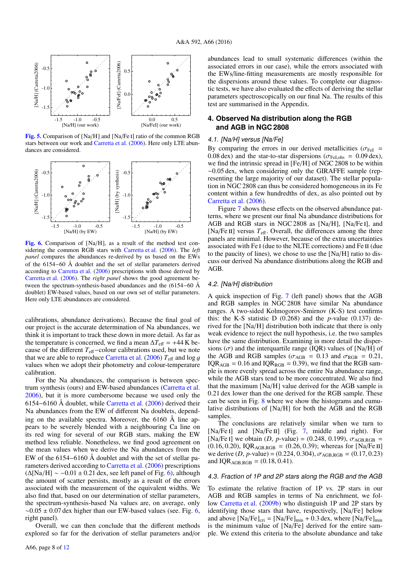

<span id="page-8-0"></span>[Fig. 5.](http://dexter.edpsciences.org/applet.php?DOI=10.1051/0004-6361/201628502&pdf_id=5) Comparison of [Na/H] and [Na/Fe i] ratio of the common RGB stars between our work and [Carretta et al.](#page-11-45) [\(2006\)](#page-11-45). Here only LTE abundances are considered.



<span id="page-8-1"></span>[Fig. 6.](http://dexter.edpsciences.org/applet.php?DOI=10.1051/0004-6361/201628502&pdf_id=6) Comparison of [Na/H], as a result of the method test considering the common RGB stars with [Carretta et al.](#page-11-45) [\(2006\)](#page-11-45). The *left panel* compares the abundances re-derived by us based on the EWs of the 6154−60 Å doublet and the set of stellar parameters derived according to [Carretta et al.](#page-11-45) [\(2006\)](#page-11-45) prescriptions with those derived by [Carretta et al.](#page-11-45) [\(2006\)](#page-11-45). The *right panel* shows the good agreement between the spectrum-synthesis-based abundances and the (6154−60 Å doublet) EW-based values, based on our own set of stellar parameters. Here only LTE abundances are considered.

calibrations, abundance derivations). Because the final goal of our project is the accurate determination of Na abundances, we think it is important to track these down in more detail. As far as the temperature is concerned, we find a mean  $\Delta T_{\text{eff}}$  = +44 K because of the different *T*eff−colour calibrations used, but we note that we are able to reproduce [Carretta et al.](#page-11-45) [\(2006\)](#page-11-45)  $T_{\text{eff}}$  and  $\log g$ values when we adopt their photometry and colour-temperature calibration.

For the Na abundances, the comparison is between spectrum synthesis (ours) and EW-based abundances [\(Carretta et al.](#page-11-45) [2006\)](#page-11-45), but it is more cumbersome because we used only the 6154−6160 Å doublet, while [Carretta et al.](#page-11-45) [\(2006\)](#page-11-45) derived their Na abundances from the EW of different Na doublets, depending on the available spectra. Moreover, the 6160 Å line appears to be severely blended with a neighbouring Ca line on its red wing for several of our RGB stars, making the EW method less reliable. Nonetheless, we find good agreement on the mean values when we derive the Na abundances from the EW of the 6154−6160 Å doublet and with the set of stellar parameters derived according to [Carretta et al.](#page-11-45) [\(2006\)](#page-11-45) prescriptions  $(\Delta$ [Na/H] ~ -0.01 ± 0.21 dex, see left panel of Fig. [6\)](#page-8-1), although the amount of scatter persists, mostly as a result of the errors associated with the measurement of the equivalent widths. We also find that, based on our determination of stellar parameters, the spectrum-synthesis-based Na values are, on average, only  $\sim$ 0.05 ± 0.07 dex higher than our EW-based values (see. Fig. [6,](#page-8-1) right panel).

Overall, we can then conclude that the different methods explored so far for the derivation of stellar parameters and/or abundances lead to small systematic differences (within the associated errors in our case), while the errors associated with the EWs/line-fitting measurements are mostly responsible for the dispersions around these values. To complete our diagnostic tests, we have also evaluated the effects of deriving the stellar parameters spectroscopically on our final Na. The results of this test are summarised in the Appendix.

### **4. Observed Na distribution along the RGB and AGB in NGC 2808**

#### 4.1. [Na/H] versus [Na/Fe]

By comparing the errors in our derived metallicities ( $\sigma_{\text{FeI}}$  = 0.08 dex) and the star-to-star dispersions ( $\sigma_{\text{FeLobs}} = 0.09$  dex), we find the intrinsic spread in [Fe/H] of NGC 2808 to be within <sup>∼</sup>0.05 dex, when considering only the GIRAFFE sample (representing the large majority of our dataset). The stellar population in NGC 2808 can thus be considered homogeneous in its Fe content within a few hundredths of dex, as also pointed out by [Carretta et al.](#page-11-45) [\(2006\)](#page-11-45).

Figure [7](#page-9-0) shows these effects on the observed abundance patterns, where we present our final Na abundance distributions for AGB and RGB stars in NGC 2808 as [Na/H], [Na/Fe i], and [Na/Fe II] versus  $T_{\text{eff}}$ . Overall, the differences among the three panels are minimal. However, because of the extra uncertainties associated with Fe i (due to the NLTE corrections) and Fe ii (due to the paucity of lines), we chose to use the [Na/H] ratio to discuss our derived Na abundance distributions along the RGB and AGB.

#### 4.2. [Na/H] distribution

A quick inspection of Fig. [7](#page-9-0) (left panel) shows that the AGB and RGB samples in NGC 2808 have similar Na abundance ranges. A two-sided Kolmogorov-Smirnov (K-S) test confirms this: the K-S statistic D  $(0.268)$  and the *p*-value  $(0.137)$  derived for the [Na/H] distribution both indicate that there is only weak evidence to reject the null hypothesis, i.e. the two samples have the same distribution. Examining in more detail the dispersions  $(\sigma)$  and the interquartile range (IQR) values of [Na/H] of the AGB and RGB samples ( $\sigma_{AGB}$  = 0.13 and  $\sigma_{RGB}$  = 0.21,  $IQR_{AGB} = 0.16$  and  $IQR_{RGB} = 0.39$ , we find that the RGB sample is more evenly spread across the entire Na abundance range, while the AGB stars tend to be more concentrated. We also find that the maximum [Na/H] value derived for the AGB sample is 0.21 dex lower than the one derived for the RGB sample. These can be seen in Fig. [8](#page-9-1) where we show the histograms and cumulative distributions of [Na/H] for both the AGB and the RGB samples.

The conclusions are relatively similar when we turn to [Na/Fe I] and [Na/Fe II] (Fig. [7,](#page-9-0) middle and right). For [Na/Fe I] we obtain  $(D, p$ -value) = (0.248, 0.199),  $\sigma_{AGB,RGB}$  = (0.16, 0.20), IQR<sub>AGB,RGB</sub> = (0.26, 0.39); whereas for [Na/Fe II] we derive  $(D, p$ -value) = (0.224, 0.304),  $\sigma_{AGB,RGB}$  = (0.17, 0.23) and  $IQR_{AGB,RGB} = (0.18, 0.41)$ .

#### 4.3. Fraction of 1P and 2P stars along the RGB and the AGB

To estimate the relative fraction of 1P vs. 2P stars in our AGB and RGB samples in terms of Na enrichment, we follow [Carretta et al.](#page-11-80) [\(2009b\)](#page-11-80) who distinguish 1P and 2P stars by identifying those stars that have, respectively, [Na/Fe] below and above  $[Na/Fe]_{\text{cri}} = [Na/Fe]_{\text{min}} + 0.3$  dex, where  $[Na/Fe]_{\text{min}}$  is the minimum value of  $[Na/Fe]$  derived for the entire sample. We extend this criteria to the absolute abundance and take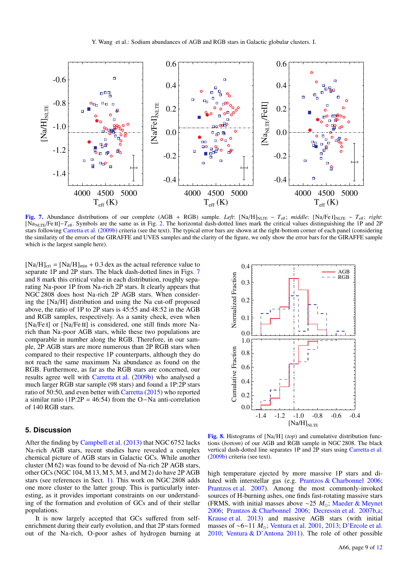

<span id="page-9-0"></span>[Fig. 7.](http://dexter.edpsciences.org/applet.php?DOI=10.1051/0004-6361/201628502&pdf_id=7) Abundance distributions of our complete (AGB + RGB) sample. *Left*: [Na/H]<sub>NLTE</sub> –  $T_{\text{eff}}$ ; *middle*: [Na/Fe I]<sub>NLTE</sub> –  $T_{\text{eff}}$ ; *right*: [NaNLTE/Fe ii]−*T*eff. Symbols are the same as in Fig. [2.](#page-4-0) The horizontal dash-dotted lines mark the critical values distinguishing the 1P and 2P stars following [Carretta et al.](#page-11-80) [\(2009b\)](#page-11-80) criteria (see the text). The typical error bars are shown at the right-bottom corner of each panel (considering the similarity of the errors of the GIRAFFE and UVES samples and the clarity of the figure, we only show the error bars for the GIRAFFE sample which is the largest sample here).

 $[Na/H]_{\text{cri}} = [Na/H]_{\text{min}} + 0.3$  dex as the actual reference value to separate 1P and 2P stars. The black dash-dotted lines in Figs. [7](#page-9-0) and [8](#page-9-1) mark this critical value in each distribution, roughly separating Na-poor 1P from Na-rich 2P stars. It clearly appears that NGC 2808 does host Na-rich 2P AGB stars. When considering the [Na/H] distribution and using the Na cut-off proposed above, the ratio of 1P to 2P stars is 45:55 and 48:52 in the AGB and RGB samples, respectively. As a sanity check, even when [Na/Fe I] or [Na/Fe II] is considered, one still finds more Narich than Na-poor AGB stars, while these two populations are comparable in number along the RGB. Therefore, in our sample, 2P AGB stars are more numerous than 2P RGB stars when compared to their respective 1P counterparts, although they do not reach the same maximum Na abundance as found on the RGB. Furthermore, as far as the RGB stars are concerned, our results agree well with [Carretta et al.](#page-11-80) [\(2009b\)](#page-11-80) who analysed a much larger RGB star sample (98 stars) and found a 1P:2P stars ratio of 50:50, and even better with [Carretta](#page-11-81) [\(2015\)](#page-11-81) who reported a similar ratio (1P:2P = 46:54) from the O−Na anti-correlation of 140 RGB stars.

# **5. Discussion**

After the finding by [Campbell et al.](#page-11-41) [\(2013\)](#page-11-41) that NGC 6752 lacks Na-rich AGB stars, recent studies have revealed a complex chemical picture of AGB stars in Galactic GCs. While another cluster (M 62) was found to be devoid of Na-rich 2P AGB stars, other GCs (NGC 104, M 13, M 5, M 3, and M 2) do have 2P AGB stars (see references in Sect. [1\)](#page-1-0). This work on NGC 2808 adds one more cluster to the latter group. This is particularly interesting, as it provides important constraints on our understanding of the formation and evolution of GCs and of their stellar populations.

It is now largely accepted that GCs suffered from selfenrichment during their early evolution, and that 2P stars formed out of the Na-rich, O-poor ashes of hydrogen burning at



<span id="page-9-1"></span>[Fig. 8.](http://dexter.edpsciences.org/applet.php?DOI=10.1051/0004-6361/201628502&pdf_id=8) Histograms of [Na/H] (*top*) and cumulative distribution functions (*bottom*) of our AGB and RGB sample in NGC 2808. The black vertical dash-dotted line separates 1P and 2P stars using [Carretta et al.](#page-11-80) [\(2009b\)](#page-11-80) criteria (see text).

high temperature ejected by more massive 1P stars and diluted with interstellar gas (e.g. [Prantzos & Charbonnel](#page-11-17) [2006;](#page-11-17) [Prantzos et al.](#page-11-18) [2007\)](#page-11-18). Among the most commonly-invoked sources of H-burning ashes, one finds fast-rotating massive stars (FRMS, with initial masses above ∼25 *M*; [Maeder & Meynet](#page-11-82) [2006;](#page-11-82) [Prantzos & Charbonnel](#page-11-17) [2006;](#page-11-17) [Decressin et al.](#page-11-83) [2007b,](#page-11-83)[a;](#page-11-84) [Krause et al.](#page-11-85) [2013\)](#page-11-85) and massive AGB stars (with initial masses of ~6−11 *M*<sub>o</sub>; [Ventura et al.](#page-11-86) [2001,](#page-11-86) [2013;](#page-11-87) [D'Ercole et al.](#page-11-88) [2010;](#page-11-88) [Ventura & D'Antona](#page-11-89) [2011\)](#page-11-89). The role of other possible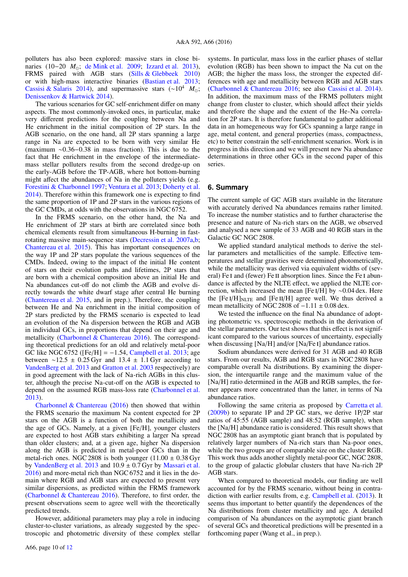polluters has also been explored: massive stars in close binaries (10−20 *M*; [de Mink et al.](#page-11-90) [2009;](#page-11-90) [Izzard et al.](#page-11-91) [2013\)](#page-11-91), FRMS paired with AGB stars [\(Sills & Glebbeek](#page-11-92) [2010\)](#page-11-92) or with high-mass interactive binaries [\(Bastian et al.](#page-11-93) [2013;](#page-11-93) [Cassisi & Salaris](#page-11-94) [2014\)](#page-11-94), and supermassive stars (∼10<sup>4</sup> *M*; [Denissenkov & Hartwick](#page-11-95) [2014\)](#page-11-95).

The various scenarios for GC self-enrichment differ on many aspects. The most commonly-invoked ones, in particular, make very different predictions for the coupling between Na and He enrichment in the initial composition of 2P stars. In the AGB scenario, on the one hand, all 2P stars spanning a large range in Na are expected to be born with very similar He (maximum ∼0.36−0.38 in mass fraction). This is due to the fact that He enrichment in the envelope of the intermediatemass stellar polluters results from the second dredge-up on the early-AGB before the TP-AGB, where hot bottom-burning might affect the abundances of Na in the polluters yields (e.g. [Forestini & Charbonnel](#page-11-96) [1997;](#page-11-96) [Ventura et al.](#page-11-87) [2013;](#page-11-87) [Doherty et al.](#page-11-97) [2014\)](#page-11-97). Therefore within this framework one is expecting to find the same proportion of 1P and 2P stars in the various regions of the GC CMDs, at odds with the observations in NGC 6752.

In the FRMS scenario, on the other hand, the Na and He enrichment of 2P stars at birth are correlated since both chemical elements result from simultaneous H-burning in fastrotating massive main-sequence stars [\(Decressin et al.](#page-11-84) [2007a,](#page-11-84)[b;](#page-11-83) [Chantereau et al.](#page-11-16) [2015\)](#page-11-16). This has important consequences on the way 1P and 2P stars populate the various sequences of the CMDs. Indeed, owing to the impact of the initial He content of stars on their evolution paths and lifetimes, 2P stars that are born with a chemical composition above an initial He and Na abundances cut-off do not climb the AGB and evolve directly towards the white dwarf stage after central He burning [\(Chantereau et al.](#page-11-16) [2015,](#page-11-16) and in prep.). Therefore, the coupling between He and Na enrichment in the initial composition of 2P stars predicted by the FRMS scenario is expected to lead an evolution of the Na dispersion between the RGB and AGB in individual GCs, in proportions that depend on their age and metallicity [\(Charbonnel & Chantereau](#page-11-44) [2016\)](#page-11-44). The corresponding theoretical predictions for an old and relatively metal-poor GC like NGC 6752 ( $[Fe/H] = -1.54$ , [Campbell et al.](#page-11-41) [2013;](#page-11-41) age between ∼12.5 ± 0.25 Gyr and 13.4 ± 1.1 Gyr according to [VandenBerg et al.](#page-11-98) [2013](#page-11-98) and [Gratton et al.](#page-11-99) [2003](#page-11-99) respectively) are in good agreement with the lack of Na-rich AGBs in this cluster, although the precise Na-cut-off on the AGB is expected to depend on the assumed RGB mass-loss rate [\(Charbonnel et al.](#page-11-100) [2013\)](#page-11-100).

[Charbonnel & Chantereau](#page-11-44) [\(2016\)](#page-11-44) then showed that within the FRMS scenario the maximum Na content expected for 2P stars on the AGB is a function of both the metallicity and the age of GCs. Namely, at a given [Fe/H], younger clusters are expected to host AGB stars exhibiting a larger Na spread than older clusters; and, at a given age, higher Na dispersion along the AGB is predicted in metal-poor GCs than in the metal-rich ones. NGC 2808 is both younger  $(11.00 \pm 0.38 \text{ Gyr})$ by [VandenBerg et al.](#page-11-98) [2013](#page-11-98) and 10.<sup>9</sup> <sup>±</sup> <sup>0</sup>.7 Gyr by [Massari et al.](#page-11-101) [2016\)](#page-11-101) and more-metal rich than NGC 6752 and it lies in the domain where RGB and AGB stars are expected to present very similar dispersions, as predicted within the FRMS framework [\(Charbonnel & Chantereau](#page-11-44) [2016\)](#page-11-44). Therefore, to first order, the present observations seem to agree well with the theoretically predicted trends.

However, additional parameters may play a role in inducing cluster-to-cluster variations, as already suggested by the spectroscopic and photometric diversity of these complex stellar systems. In particular, mass loss in the earlier phases of stellar evolution (RGB) has been shown to impact the Na cut on the AGB; the higher the mass loss, the stronger the expected differences with age and metallicity between RGB and AGB stars [\(Charbonnel & Chantereau](#page-11-44) [2016;](#page-11-44) see also [Cassisi et al.](#page-11-102) [2014\)](#page-11-102). In addition, the maximum mass of the FRMS polluters might change from cluster to cluster, which should affect their yields and therefore the shape and the extent of the He-Na correlation for 2P stars. It is therefore fundamental to gather additional data in an homegeneous way for GCs spanning a large range in age, metal content, and general properties (mass, compactness, etc) to better constrain the self-enrichment scenarios. Work is in progress in this direction and we will present new Na abundance determinations in three other GCs in the second paper of this series.

#### **6. Summary**

The current sample of GC AGB stars available in the literature with accurately derived Na abundances remains rather limited. To increase the number statistics and to further characterise the presence and nature of Na-rich stars on the AGB, we observed and analysed a new sample of 33 AGB and 40 RGB stars in the Galactic GC NGC 2808.

We applied standard analytical methods to derive the stellar parameters and metallicities of the sample. Effective temperatures and stellar gravities were determined photometrically, while the metallicity was derived via equivalent widths of (several) Fe I and (fewer) Fe II absorption lines. Since the Fe I abundance is affected by the NLTE effect, we applied the NLTE correction, which increased the mean [Fe <sup>i</sup>/H] by <sup>∼</sup>0.04 dex. Here the  $[Fe I/H]_{NLTE}$  and  $[Fe II/H]$  agree well. We thus derived a mean metallicity of NGC 2808 of  $-1.11 \pm 0.08$  dex.

We tested the influence on the final Na abundance of adopting photometric vs. spectroscopic methods in the derivation of the stellar parameters. Our test shows that this effect is not significant compared to the various sources of uncertainty, especially when discussing [Na/H] and/or [Na/Fe I] abundance ratios.

Sodium abundances were derived for 31 AGB and 40 RGB stars. From our results, AGB and RGB stars in NGC 2808 have comparable overall Na distributions. By examining the dispersion, the interquartile range and the maximum value of the [Na/H] ratio determined in the AGB and RGB samples, the former appears more concentrated than the latter, in terms of Na abundance ratios.

Following the same criteria as proposed by [Carretta et al.](#page-11-80) [\(2009b\)](#page-11-80) to separate 1P and 2P GC stars, we derive 1P/2P star ratios of 45:55 (AGB sample) and 48:52 (RGB sample), when the [Na/H] abundance ratio is considered. This result shows that NGC 2808 has an asymptotic giant branch that is populated by relatively larger numbers of Na-rich stars than Na-poor ones, while the two groups are of comparable size on the cluster RGB. This work thus adds another slightly metal-poor GC, NGC 2808, to the group of galactic globular clusters that have Na-rich 2P AGB stars.

When compared to theoretical models, our finding are well accounted for by the FRMS scenario, without being in contradiction with earlier results from, e.g. [Campbell et al.](#page-11-41) [\(2013\)](#page-11-41). It seems thus important to better quantify the dependences of the Na distributions from cluster metallicity and age. A detailed comparison of Na abundances on the asymptotic giant branch of several GCs and theoretical predictions will be presented in a forthcoming paper (Wang et al., in prep.).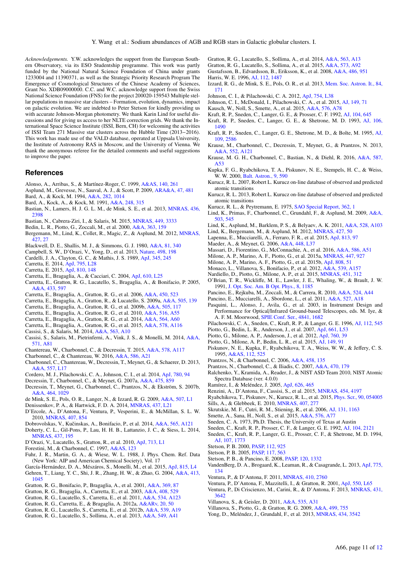*Acknowledgements.* Y.W. acknowledges the support from the European Southern Observatory, via its ESO Studentship programme. This work was partly funded by the National Natural Science Foundation of China under grants 1233004 and 11390371, as well as the Strategic Priority Research Program The Emergence of Cosmological Structures of the Chinese Academy of Sciences, Grant No. XDB09000000. C.C. and W.C. acknowledge support from the Swiss National Science Foundation (FNS) for the project 200020-159543 Multiple stellar populations in massive star clusters – Formation, evolution, dynamics, impact on galactic evolution. We are indebted to Peter Stetson for kindly providing us with accurate Johnson-Morgan photometry. We thank Karin Lind for useful discussions and for giving us access to her NLTE correction grids. We thank the International Space Science Institute (ISSI, Bern, CH) for welcoming the activities of ISSI Team 271 Massive star clusters across the Hubble Time (2013−2016). This work has made use of the VALD database, operated at Uppsala University, the Institute of Astronomy RAS in Moscow, and the University of Vienna. We thank the anonymous referee for the detailed comments and useful suggestions to improve the paper.

#### **References**

- <span id="page-11-57"></span>Alonso, A., Arribas, S., & Martínez-Roger, C. 1999, [A&AS, 140, 261](http://linker.aanda.org/10.1051/0004-6361/201628502/1)
- <span id="page-11-71"></span>Asplund, M., Grevesse, N., Sauval, A. J., & Scott, P. 2009, [ARA&A, 47, 481](http://linker.aanda.org/10.1051/0004-6361/201628502/2)
- <span id="page-11-65"></span>Bard, A., & Kock, M. 1994, [A&A, 282, 1014](http://linker.aanda.org/10.1051/0004-6361/201628502/3)
- <span id="page-11-64"></span>Bard, A., Kock, A., & Kock, M. 1991, [A&A, 248, 315](http://linker.aanda.org/10.1051/0004-6361/201628502/4)
- <span id="page-11-93"></span>Bastian, N., Lamers, H. J. G. L. M., de Mink, S. E., et al. 2013, [MNRAS, 436,](http://linker.aanda.org/10.1051/0004-6361/201628502/5) [2398](http://linker.aanda.org/10.1051/0004-6361/201628502/5)
- <span id="page-11-19"></span>Bastian, N., Cabrera-Ziri, I., & Salaris, M. 2015, [MNRAS, 449, 3333](http://linker.aanda.org/10.1051/0004-6361/201628502/6)
- <span id="page-11-56"></span>Bedin, L. R., Piotto, G., Zoccali, M., et al. 2000, [A&A, 363, 159](http://linker.aanda.org/10.1051/0004-6361/201628502/7)
- <span id="page-11-77"></span>Bergemann, M., Lind, K., Collet, R., Magic, Z., & Asplund, M. 2012, [MNRAS,](http://linker.aanda.org/10.1051/0004-6361/201628502/8) [427, 27](http://linker.aanda.org/10.1051/0004-6361/201628502/8)
- <span id="page-11-67"></span>Blackwell, D. E., Shallis, M. J., & Simmons, G. J. 1980, [A&A, 81, 340](http://linker.aanda.org/10.1051/0004-6361/201628502/9)
- <span id="page-11-41"></span>Campbell, S. W., D'Orazi, V., Yong, D., et al. 2013, [Nature, 498, 198](http://linker.aanda.org/10.1051/0004-6361/201628502/10)
- <span id="page-11-54"></span>Cardelli, J. A., Clayton, G. C., & Mathis, J. S. 1989, [ApJ, 345, 245](http://linker.aanda.org/10.1051/0004-6361/201628502/11)
- <span id="page-11-9"></span>Carretta, E. 2014, [ApJ, 795, L28](http://linker.aanda.org/10.1051/0004-6361/201628502/12)
- <span id="page-11-81"></span>Carretta, E. 2015, [ApJ, 810, 148](http://linker.aanda.org/10.1051/0004-6361/201628502/13)
- <span id="page-11-72"></span>Carretta, E., Bragaglia, A., & Cacciari, C. 2004, [ApJ, 610, L25](http://linker.aanda.org/10.1051/0004-6361/201628502/14)
- <span id="page-11-27"></span>Carretta, E., Gratton, R. G., Lucatello, S., Bragaglia, A., & Bonifacio, P. 2005, [A&A, 433, 597](http://linker.aanda.org/10.1051/0004-6361/201628502/15)
- <span id="page-11-45"></span>Carretta, E., Bragaglia, A., Gratton, R. G., et al. 2006, [A&A, 450, 523](http://linker.aanda.org/10.1051/0004-6361/201628502/16)
- <span id="page-11-73"></span>Carretta, E., Bragaglia, A., Gratton, R., & Lucatello, S. 2009a, [A&A, 505, 139](http://linker.aanda.org/10.1051/0004-6361/201628502/17)
- <span id="page-11-80"></span>Carretta, E., Bragaglia, A., Gratton, R. G., et al. 2009b, [A&A, 505, 117](http://linker.aanda.org/10.1051/0004-6361/201628502/18)
- <span id="page-11-5"></span>Carretta, E., Bragaglia, A., Gratton, R. G., et al. 2010, [A&A, 516, A55](http://linker.aanda.org/10.1051/0004-6361/201628502/19)
- <span id="page-11-8"></span>Carretta, E., Bragaglia, A., Gratton, R. G., et al. 2014, [A&A, 564, A60](http://linker.aanda.org/10.1051/0004-6361/201628502/20)
- <span id="page-11-31"></span>Carretta, E., Bragaglia, A., Gratton, R. G., et al. 2015, [A&A, 578, A116](http://linker.aanda.org/10.1051/0004-6361/201628502/21)
- <span id="page-11-94"></span>Cassisi, S., & Salaris, M. 2014, [A&A, 563, A10](http://linker.aanda.org/10.1051/0004-6361/201628502/22)
- <span id="page-11-102"></span>Cassisi, S., Salaris, M., Pietrinferni, A., Vink, J. S., & Monelli, M. 2014, [A&A,](http://linker.aanda.org/10.1051/0004-6361/201628502/23) [571, A81](http://linker.aanda.org/10.1051/0004-6361/201628502/23)
- <span id="page-11-16"></span>Chantereau, W., Charbonnel, C., & Decressin, T. 2015, [A&A, 578, A117](http://linker.aanda.org/10.1051/0004-6361/201628502/24)
- <span id="page-11-44"></span>Charbonnel, C., & Chantereau, W. 2016, [A&A, 586, A21](http://linker.aanda.org/10.1051/0004-6361/201628502/25)
- <span id="page-11-100"></span>Charbonnel, C., Chantereau, W., Decressin, T., Meynet, G., & Schaerer, D. 2013, [A&A, 557, L17](http://linker.aanda.org/10.1051/0004-6361/201628502/26)
- <span id="page-11-30"></span>Cordero, M. J., Pilachowski, C. A., Johnson, C. I., et al. 2014, [ApJ, 780, 94](http://linker.aanda.org/10.1051/0004-6361/201628502/27)
- <span id="page-11-84"></span>Decressin, T., Charbonnel, C., & Meynet, G. 2007a, [A&A, 475, 859](http://linker.aanda.org/10.1051/0004-6361/201628502/28)
- <span id="page-11-83"></span>Decressin, T., Meynet, G., Charbonnel, C., Prantzos, N., & Ekström, S. 2007b, [A&A, 464, 1029](http://linker.aanda.org/10.1051/0004-6361/201628502/29)
- <span id="page-11-90"></span>de Mink, S. E., Pols, O. R., Langer, N., & Izzard, R. G. 2009, [A&A, 507, L1](http://linker.aanda.org/10.1051/0004-6361/201628502/30)
- <span id="page-11-95"></span>Denissenkov, P. A., & Hartwick, F. D. A. 2014, [MNRAS, 437, L21](http://linker.aanda.org/10.1051/0004-6361/201628502/31)
- <span id="page-11-88"></span>D'Ercole, A., D'Antona, F., Ventura, P., Vesperini, E., & McMillan, S. L. W. 2010, [MNRAS, 407, 854](http://linker.aanda.org/10.1051/0004-6361/201628502/32)
- <span id="page-11-26"></span>Dobrovolskas, V., Kučinskas, A., Bonifacio, P., et al. 2014, [A&A, 565, A121](http://linker.aanda.org/10.1051/0004-6361/201628502/33)
- <span id="page-11-97"></span>Doherty, C. L., Gil-Pons, P., Lau, H. H. B., Lattanzio, J. C., & Siess, L. 2014,
- [MNRAS, 437, 195](http://linker.aanda.org/10.1051/0004-6361/201628502/34)
- <span id="page-11-24"></span>D'Orazi, V., Lucatello, S., Gratton, R., et al. 2010, [ApJ, 713, L1](http://linker.aanda.org/10.1051/0004-6361/201628502/35)
- <span id="page-11-96"></span>Forestini, M., & Charbonnel, C. 1997, [A&AS, 123](http://linker.aanda.org/10.1051/0004-6361/201628502/36)
- <span id="page-11-62"></span>Fuhr, J. R., Martin, G. A., & Wiese, W. L. 1988, J. Phys. Chem. Ref. Data (New York: AIP and American Chemical Society), Vol. 17
- <span id="page-11-79"></span><span id="page-11-43"></span>García-Hernández, D. A., Mészáros, S., Monelli, M., et al. 2015, [ApJ, 815, L4](http://linker.aanda.org/10.1051/0004-6361/201628502/38) Gehren, T., Liang, Y. C., Shi, J. R., Zhang, H. W., & Zhao, G. 2004, [A&A, 413,](http://linker.aanda.org/10.1051/0004-6361/201628502/39)
- [1045](http://linker.aanda.org/10.1051/0004-6361/201628502/39)
- <span id="page-11-22"></span>Gratton, R. G., Bonifacio, P., Bragaglia, A., et al. 2001, [A&A, 369, 87](http://linker.aanda.org/10.1051/0004-6361/201628502/40)
- <span id="page-11-99"></span>Gratton, R. G., Bragaglia, A., Carretta, E., et al. 2003, [A&A, 408, 529](http://linker.aanda.org/10.1051/0004-6361/201628502/41)
- <span id="page-11-34"></span>Gratton, R. G., Lucatello, S., Carretta, E., et al. 2011, [A&A, 534, A123](http://linker.aanda.org/10.1051/0004-6361/201628502/42)
- <span id="page-11-35"></span><span id="page-11-32"></span>Gratton, R. G., Carretta, E., & Bragaglia, A. 2012a, [A&ARv, 20, 50](http://linker.aanda.org/10.1051/0004-6361/201628502/43) Gratton, R. G., Lucatello, S., Carretta, E., et al. 2012b, [A&A, 539, A19](http://linker.aanda.org/10.1051/0004-6361/201628502/44)
- <span id="page-11-36"></span>
- Gratton, R. G., Lucatello, S., Sollima, A., et al. 2013, [A&A, 549, A41](http://linker.aanda.org/10.1051/0004-6361/201628502/45)
- <span id="page-11-37"></span>Gratton, R. G., Lucatello, S., Sollima, A., et al. 2014, [A&A, 563, A13](http://linker.aanda.org/10.1051/0004-6361/201628502/46)
- <span id="page-11-38"></span>Gratton, R. G., Lucatello, S., Sollima, A., et al. 2015, [A&A, 573, A92](http://linker.aanda.org/10.1051/0004-6361/201628502/47)
- <span id="page-11-69"></span><span id="page-11-53"></span>Gustafsson, B., Edvardsson, B., Eriksson, K., et al. 2008, [A&A, 486, 951](http://linker.aanda.org/10.1051/0004-6361/201628502/48) Harris, W. E. 1996, [AJ, 112, 1487](http://linker.aanda.org/10.1051/0004-6361/201628502/49)
- <span id="page-11-91"></span>Izzard, R. G., de Mink, S. E., Pols, O. R., et al. 2013, [Mem. Soc. Astron. It., 84,](http://linker.aanda.org/10.1051/0004-6361/201628502/50) [171](http://linker.aanda.org/10.1051/0004-6361/201628502/50)
- <span id="page-11-40"></span>Johnson, C. I., & Pilachowski, C. A. 2012, [ApJ, 754, L38](http://linker.aanda.org/10.1051/0004-6361/201628502/51)
- <span id="page-11-42"></span>Johnson, C. I., McDonald, I., Pilachowski, C. A., et al. 2015, [AJ, 149, 71](http://linker.aanda.org/10.1051/0004-6361/201628502/52)
- <span id="page-11-51"></span>Kausch, W., Noll, S., Smette, A., et al. 2015, [A&A, 576, A78](http://linker.aanda.org/10.1051/0004-6361/201628502/53)
- <span id="page-11-0"></span>Kraft, R. P., Sneden, C., Langer, G. E., & Prosser, C. F. 1992, [AJ, 104, 645](http://linker.aanda.org/10.1051/0004-6361/201628502/54)
- <span id="page-11-1"></span>Kraft, R. P., Sneden, C., Langer, G. E., & Shetrone, M. D. 1993, [AJ, 106,](http://linker.aanda.org/10.1051/0004-6361/201628502/55) [1490](http://linker.aanda.org/10.1051/0004-6361/201628502/55)
- <span id="page-11-2"></span>Kraft, R. P., Sneden, C., Langer, G. E., Shetrone, M. D., & Bolte, M. 1995, [AJ,](http://linker.aanda.org/10.1051/0004-6361/201628502/56) [109, 2586](http://linker.aanda.org/10.1051/0004-6361/201628502/56)
- <span id="page-11-85"></span>Krause, M., Charbonnel, C., Decressin, T., Meynet, G., & Prantzos, N. 2013, [A&A, 552, A121](http://linker.aanda.org/10.1051/0004-6361/201628502/57)
- <span id="page-11-21"></span>Krause, M. G. H., Charbonnel, C., Bastian, N., & Diehl, R. 2016, [A&A, 587,](http://linker.aanda.org/10.1051/0004-6361/201628502/58) [A53](http://linker.aanda.org/10.1051/0004-6361/201628502/58)
- <span id="page-11-59"></span>Kupka, F. G., Ryabchikova, T. A., Piskunov, N. E., Stempels, H. C., & Weiss, W. W. 2000, [Balt. Astron., 9, 590](http://linker.aanda.org/10.1051/0004-6361/201628502/59)
- <span id="page-11-61"></span>Kurucz, R. L. 2007, Robert L. Kurucz on-line database of observed and predicted atomic transitions
- <span id="page-11-66"></span>Kurucz, R. L. 2013, Robert L. Kurucz on-line database of observed and predicted atomic transitions
- <span id="page-11-75"></span>Kurucz, R. L., & Peytremann, E. 1975, [SAO Special Report, 362, 1](http://linker.aanda.org/10.1051/0004-6361/201628502/62)
- <span id="page-11-23"></span>Lind, K., Primas, F., Charbonnel, C., Grundahl, F., & Asplund, M. 2009, [A&A,](http://linker.aanda.org/10.1051/0004-6361/201628502/63) [503, 545](http://linker.aanda.org/10.1051/0004-6361/201628502/63)
- <span id="page-11-78"></span>Lind, K., Asplund, M., Barklem, P. S., & Belyaev, A. K. 2011, [A&A, 528, A103](http://linker.aanda.org/10.1051/0004-6361/201628502/64)
- <span id="page-11-76"></span>Lind, K., Bergemann, M., & Asplund, M. 2012, [MNRAS, 427, 50](http://linker.aanda.org/10.1051/0004-6361/201628502/65)
- <span id="page-11-10"></span>Lapenna, E., Mucciarelli, A., Ferraro, F. R., et al. 2015, [ApJ, 813, 97](http://linker.aanda.org/10.1051/0004-6361/201628502/66)
- <span id="page-11-82"></span>Maeder, A., & Meynet, G. 2006, [A&A, 448, L37](http://linker.aanda.org/10.1051/0004-6361/201628502/67)
- <span id="page-11-101"></span>Massari, D., Fiorentino, G., McConnachie, A., et al. 2016, [A&A, 586, A51](http://linker.aanda.org/10.1051/0004-6361/201628502/68)
- <span id="page-11-13"></span>Milone, A. P., Marino, A. F., Piotto, G., et al. 2015a, [MNRAS, 447, 927](http://linker.aanda.org/10.1051/0004-6361/201628502/69)
- <span id="page-11-14"></span>Milone, A. P., Marino, A. F., Piotto, G., et al. 2015b, [ApJ, 808, 51](http://linker.aanda.org/10.1051/0004-6361/201628502/70)
- <span id="page-11-25"></span>Monaco, L., Villanova, S., Bonifacio, P., et al. 2012, [A&A, 539, A157](http://linker.aanda.org/10.1051/0004-6361/201628502/71)
- <span id="page-11-15"></span>Nardiello, D., Piotto, G., Milone, A. P., et al. 2015, [MNRAS, 451, 312](http://linker.aanda.org/10.1051/0004-6361/201628502/72)
- <span id="page-11-63"></span>O'Brian, T. R., Wickliffe, M. E., Lawler, J. E., Whaling, W., & Brault, J. W. 1991, [J. Opt. Soc. Am. B Opt. Phys., 8, 1185](http://linker.aanda.org/10.1051/0004-6361/201628502/73)
- <span id="page-11-6"></span>Pancino, E., Rejkuba, M., Zoccali, M., & Carrera, R. 2010, [A&A, 524, A44](http://linker.aanda.org/10.1051/0004-6361/201628502/74)
- <span id="page-11-28"></span>Pancino, E., Mucciarelli, A., Sbordone, L., et al. 2011, [A&A, 527, A18](http://linker.aanda.org/10.1051/0004-6361/201628502/75)
- <span id="page-11-49"></span>Pasquini, L., Alonso, J., Avila, G., et al. 2003, in Instrument Design and Performance for Optical/Infrared Ground-based Telescopes, eds. M. Iye, & A. F. M. Moorwood, [SPIE Conf. Ser., 4841, 1682](http://linker.aanda.org/10.1051/0004-6361/201628502/76)
- <span id="page-11-39"></span>Pilachowski, C. A., Sneden, C., Kraft, R. P., & Langer, G. E. 1996, [AJ, 112, 545](http://linker.aanda.org/10.1051/0004-6361/201628502/77)
- <span id="page-11-46"></span>Piotto, G., Bedin, L. R., Anderson, J., et al. 2007, [ApJ, 661, L53](http://linker.aanda.org/10.1051/0004-6361/201628502/78)
- <span id="page-11-11"></span>Piotto, G., Milone, A. P., Anderson, J., et al. 2012, [ApJ, 760, 39](http://linker.aanda.org/10.1051/0004-6361/201628502/79)
- <span id="page-11-12"></span>Piotto, G., Milone, A. P., Bedin, L. R., et al. 2015, [AJ, 149, 91](http://linker.aanda.org/10.1051/0004-6361/201628502/80)
- <span id="page-11-58"></span>Piskunov, N. E., Kupka, F., Ryabchikova, T. A., Weiss, W. W., & Jeffery, C. S. 1995, [A&AS, 112, 525](http://linker.aanda.org/10.1051/0004-6361/201628502/81)
- <span id="page-11-17"></span>Prantzos, N., & Charbonnel, C. 2006, [A&A, 458, 135](http://linker.aanda.org/10.1051/0004-6361/201628502/82)
- <span id="page-11-18"></span>Prantzos, N., Charbonnel, C., & Iliadis, C. 2007, [A&A, 470, 179](http://linker.aanda.org/10.1051/0004-6361/201628502/83)
- <span id="page-11-74"></span>Ralchenko, Y., Kramida, A., Reader, J., & NIST ASD Team 2010, NIST Atomic Spectra Database (ver. 4.0.0)
- <span id="page-11-55"></span>Ramírez, I., & Meléndez, J. 2005, [ApJ, 626, 465](http://linker.aanda.org/10.1051/0004-6361/201628502/85)
- <span id="page-11-20"></span>Renzini, A., D'Antona, F., Cassisi, S., et al. 2015, [MNRAS, 454, 4197](http://linker.aanda.org/10.1051/0004-6361/201628502/86)
- <span id="page-11-92"></span><span id="page-11-60"></span>Ryabchikova, T., Piskunov, N., Kurucz, R. L., et al. 2015, [Phys. Scr., 90, 054005](http://linker.aanda.org/10.1051/0004-6361/201628502/87) Sills, A., & Glebbeek, E. 2010, [MNRAS, 407, 277](http://linker.aanda.org/10.1051/0004-6361/201628502/88)
- <span id="page-11-52"></span>Skrutskie, M. F., Cutri, R. M., Stiening, R., et al. 2006, [AJ, 131, 1163](http://linker.aanda.org/10.1051/0004-6361/201628502/89)
- <span id="page-11-50"></span>Smette, A., Sana, H., Noll, S., et al. 2015, [A&A, 576, A77](http://linker.aanda.org/10.1051/0004-6361/201628502/90)
- <span id="page-11-70"></span>Sneden, C. A. 1973, Ph.D. Thesis, the University of Texas at Austin
- <span id="page-11-3"></span>Sneden, C., Kraft, R. P., Prosser, C. F., & Langer, G. E. 1992, [AJ, 104, 2121](http://linker.aanda.org/10.1051/0004-6361/201628502/92)
- <span id="page-11-4"></span>Sneden, C., Kraft, R. P., Langer, G. E., Prosser, C. F., & Shetrone, M. D. 1994, [AJ, 107, 1773](http://linker.aanda.org/10.1051/0004-6361/201628502/93)
- <span id="page-11-47"></span>Stetson, P. B. 2000, [PASP, 112, 925](http://linker.aanda.org/10.1051/0004-6361/201628502/94)
- <span id="page-11-48"></span>Stetson, P. B. 2005, [PASP, 117, 563](http://linker.aanda.org/10.1051/0004-6361/201628502/95)

[3642](http://linker.aanda.org/10.1051/0004-6361/201628502/100)

- <span id="page-11-68"></span>Stetson, P. B., & Pancino, E. 2008, [PASP, 120, 1332](http://linker.aanda.org/10.1051/0004-6361/201628502/96)
- <span id="page-11-98"></span>VandenBerg, D. A., Brogaard, K., Leaman, R., & Casagrande, L. 2013, [ApJ, 775,](http://linker.aanda.org/10.1051/0004-6361/201628502/97) [134](http://linker.aanda.org/10.1051/0004-6361/201628502/97)

A66, page 11 of [12](#page-12-0)

<span id="page-11-87"></span><span id="page-11-86"></span>Ventura, P., D'Antona, F., Mazzitelli, I., & Gratton, R. 2001, [ApJ, 550, L65](http://linker.aanda.org/10.1051/0004-6361/201628502/99) Ventura, P., Di Criscienzo, M., Carini, R., & D'Antona, F. 2013, [MNRAS, 431,](http://linker.aanda.org/10.1051/0004-6361/201628502/100)

<span id="page-11-89"></span>Ventura, P., & D'Antona, F. 2011, [MNRAS, 410, 2760](http://linker.aanda.org/10.1051/0004-6361/201628502/98)

<span id="page-11-33"></span><span id="page-11-29"></span>Villanova, S., Piotto, G., & Gratton, R. G. 2009, [A&A, 499, 755](http://linker.aanda.org/10.1051/0004-6361/201628502/102) Yong, D., Meléndez, J., Grundahl, F., et al. 2013, [MNRAS, 434, 3542](http://linker.aanda.org/10.1051/0004-6361/201628502/103)

<span id="page-11-7"></span>Villanova, S., & Geisler, D. 2011, [A&A, 535, A31](http://linker.aanda.org/10.1051/0004-6361/201628502/101)